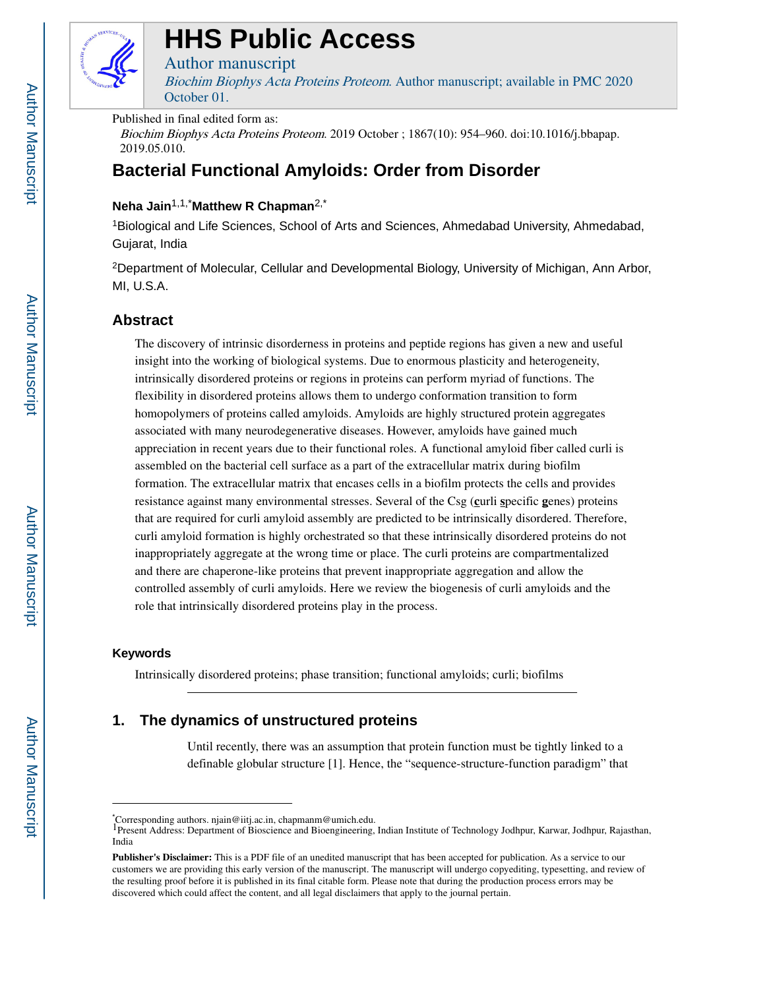

# **HHS Public Access**

### Author manuscript

Biochim Biophys Acta Proteins Proteom. Author manuscript; available in PMC 2020 October 01.

### Published in final edited form as:

Biochim Biophys Acta Proteins Proteom. 2019 October ; 1867(10): 954–960. doi:10.1016/j.bbapap. 2019.05.010.

# **Bacterial Functional Amyloids: Order from Disorder**

# **Neha Jain**1,1,\***Matthew R Chapman**2,\*

<sup>1</sup>Biological and Life Sciences, School of Arts and Sciences, Ahmedabad University, Ahmedabad, Gujarat, India

<sup>2</sup>Department of Molecular, Cellular and Developmental Biology, University of Michigan, Ann Arbor, MI, U.S.A.

# **Abstract**

The discovery of intrinsic disorderness in proteins and peptide regions has given a new and useful insight into the working of biological systems. Due to enormous plasticity and heterogeneity, intrinsically disordered proteins or regions in proteins can perform myriad of functions. The flexibility in disordered proteins allows them to undergo conformation transition to form homopolymers of proteins called amyloids. Amyloids are highly structured protein aggregates associated with many neurodegenerative diseases. However, amyloids have gained much appreciation in recent years due to their functional roles. A functional amyloid fiber called curli is assembled on the bacterial cell surface as a part of the extracellular matrix during biofilm formation. The extracellular matrix that encases cells in a biofilm protects the cells and provides resistance against many environmental stresses. Several of the Csg (**c**urli **s**pecific **g**enes) proteins that are required for curli amyloid assembly are predicted to be intrinsically disordered. Therefore, curli amyloid formation is highly orchestrated so that these intrinsically disordered proteins do not inappropriately aggregate at the wrong time or place. The curli proteins are compartmentalized and there are chaperone-like proteins that prevent inappropriate aggregation and allow the controlled assembly of curli amyloids. Here we review the biogenesis of curli amyloids and the role that intrinsically disordered proteins play in the process.

### **Keywords**

Intrinsically disordered proteins; phase transition; functional amyloids; curli; biofilms

# **1. The dynamics of unstructured proteins**

Until recently, there was an assumption that protein function must be tightly linked to a definable globular structure [1]. Hence, the "sequence-structure-function paradigm" that

<sup>\*</sup>Corresponding authors. njain@iitj.ac.in, chapmanm@umich.edu.

<sup>1</sup>Present Address: Department of Bioscience and Bioengineering, Indian Institute of Technology Jodhpur, Karwar, Jodhpur, Rajasthan, India

**Publisher's Disclaimer:** This is a PDF file of an unedited manuscript that has been accepted for publication. As a service to our customers we are providing this early version of the manuscript. The manuscript will undergo copyediting, typesetting, and review of the resulting proof before it is published in its final citable form. Please note that during the production process errors may be discovered which could affect the content, and all legal disclaimers that apply to the journal pertain.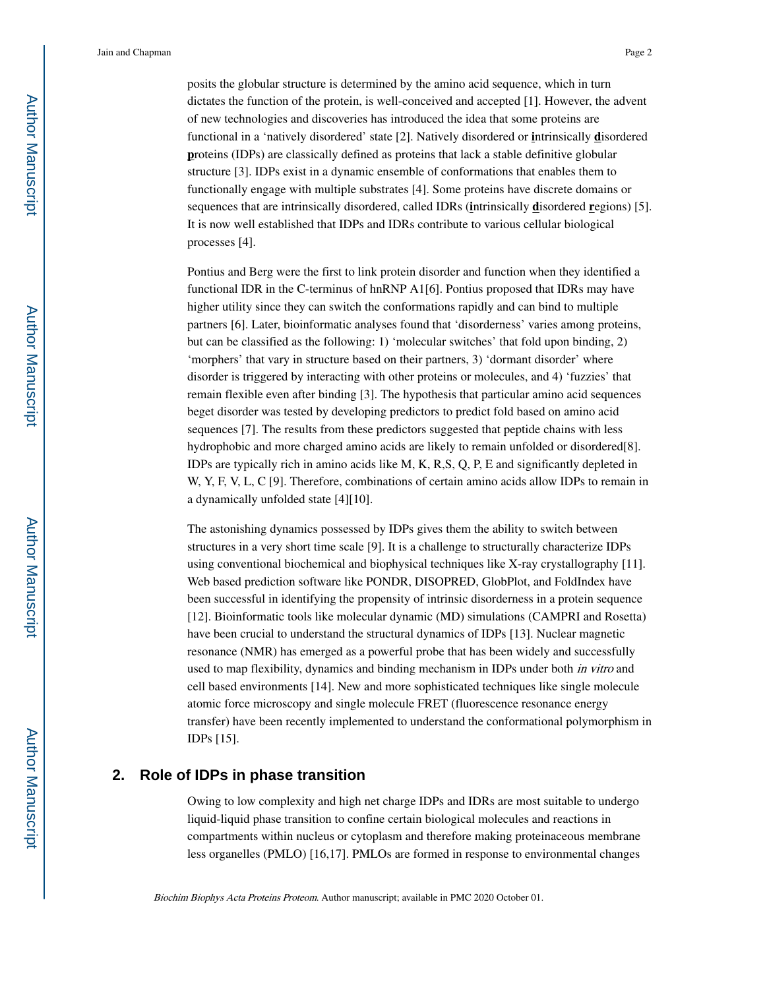posits the globular structure is determined by the amino acid sequence, which in turn dictates the function of the protein, is well-conceived and accepted [1]. However, the advent of new technologies and discoveries has introduced the idea that some proteins are functional in a 'natively disordered' state [2]. Natively disordered or **i**ntrinsically **d**isordered **p**roteins (IDPs) are classically defined as proteins that lack a stable definitive globular structure [3]. IDPs exist in a dynamic ensemble of conformations that enables them to functionally engage with multiple substrates [4]. Some proteins have discrete domains or sequences that are intrinsically disordered, called IDRs (**i**ntrinsically **d**isordered **r**egions) [5]. It is now well established that IDPs and IDRs contribute to various cellular biological processes [4].

Pontius and Berg were the first to link protein disorder and function when they identified a functional IDR in the C-terminus of hnRNP A1[6]. Pontius proposed that IDRs may have higher utility since they can switch the conformations rapidly and can bind to multiple partners [6]. Later, bioinformatic analyses found that 'disorderness' varies among proteins, but can be classified as the following: 1) 'molecular switches' that fold upon binding, 2) 'morphers' that vary in structure based on their partners, 3) 'dormant disorder' where disorder is triggered by interacting with other proteins or molecules, and 4) 'fuzzies' that remain flexible even after binding [3]. The hypothesis that particular amino acid sequences beget disorder was tested by developing predictors to predict fold based on amino acid sequences [7]. The results from these predictors suggested that peptide chains with less hydrophobic and more charged amino acids are likely to remain unfolded or disordered[8]. IDPs are typically rich in amino acids like M, K, R,S, Q, P, E and significantly depleted in W, Y, F, V, L, C [9]. Therefore, combinations of certain amino acids allow IDPs to remain in a dynamically unfolded state [4][10].

The astonishing dynamics possessed by IDPs gives them the ability to switch between structures in a very short time scale [9]. It is a challenge to structurally characterize IDPs using conventional biochemical and biophysical techniques like X-ray crystallography [11]. Web based prediction software like PONDR, DISOPRED, GlobPlot, and FoldIndex have been successful in identifying the propensity of intrinsic disorderness in a protein sequence [12]. Bioinformatic tools like molecular dynamic (MD) simulations (CAMPRI and Rosetta) have been crucial to understand the structural dynamics of IDPs [13]. Nuclear magnetic resonance (NMR) has emerged as a powerful probe that has been widely and successfully used to map flexibility, dynamics and binding mechanism in IDPs under both *in vitro* and cell based environments [14]. New and more sophisticated techniques like single molecule atomic force microscopy and single molecule FRET (fluorescence resonance energy transfer) have been recently implemented to understand the conformational polymorphism in IDPs [15].

### **2. Role of IDPs in phase transition**

Owing to low complexity and high net charge IDPs and IDRs are most suitable to undergo liquid-liquid phase transition to confine certain biological molecules and reactions in compartments within nucleus or cytoplasm and therefore making proteinaceous membrane less organelles (PMLO) [16,17]. PMLOs are formed in response to environmental changes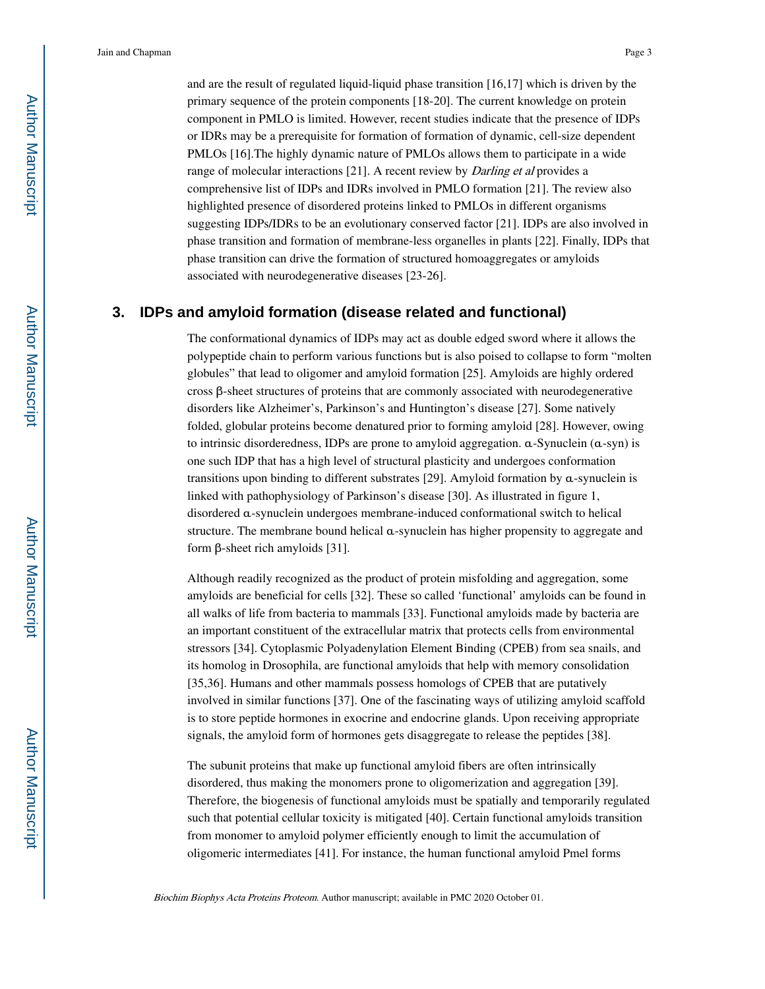and are the result of regulated liquid-liquid phase transition [16,17] which is driven by the primary sequence of the protein components [18-20]. The current knowledge on protein component in PMLO is limited. However, recent studies indicate that the presence of IDPs or IDRs may be a prerequisite for formation of formation of dynamic, cell-size dependent PMLOs [16].The highly dynamic nature of PMLOs allows them to participate in a wide range of molecular interactions [21]. A recent review by *Darling et al* provides a comprehensive list of IDPs and IDRs involved in PMLO formation [21]. The review also highlighted presence of disordered proteins linked to PMLOs in different organisms suggesting IDPs/IDRs to be an evolutionary conserved factor [21]. IDPs are also involved in phase transition and formation of membrane-less organelles in plants [22]. Finally, IDPs that phase transition can drive the formation of structured homoaggregates or amyloids associated with neurodegenerative diseases [23-26].

### **3. IDPs and amyloid formation (disease related and functional)**

The conformational dynamics of IDPs may act as double edged sword where it allows the polypeptide chain to perform various functions but is also poised to collapse to form "molten globules" that lead to oligomer and amyloid formation [25]. Amyloids are highly ordered cross β-sheet structures of proteins that are commonly associated with neurodegenerative disorders like Alzheimer's, Parkinson's and Huntington's disease [27]. Some natively folded, globular proteins become denatured prior to forming amyloid [28]. However, owing to intrinsic disorderedness, IDPs are prone to amyloid aggregation. α-Synuclein (α-syn) is one such IDP that has a high level of structural plasticity and undergoes conformation transitions upon binding to different substrates [29]. Amyloid formation by α-synuclein is linked with pathophysiology of Parkinson's disease [30]. As illustrated in figure 1, disordered α-synuclein undergoes membrane-induced conformational switch to helical structure. The membrane bound helical α-synuclein has higher propensity to aggregate and form β-sheet rich amyloids [31].

Although readily recognized as the product of protein misfolding and aggregation, some amyloids are beneficial for cells [32]. These so called 'functional' amyloids can be found in all walks of life from bacteria to mammals [33]. Functional amyloids made by bacteria are an important constituent of the extracellular matrix that protects cells from environmental stressors [34]. Cytoplasmic Polyadenylation Element Binding (CPEB) from sea snails, and its homolog in Drosophila, are functional amyloids that help with memory consolidation [35,36]. Humans and other mammals possess homologs of CPEB that are putatively involved in similar functions [37]. One of the fascinating ways of utilizing amyloid scaffold is to store peptide hormones in exocrine and endocrine glands. Upon receiving appropriate signals, the amyloid form of hormones gets disaggregate to release the peptides [38].

The subunit proteins that make up functional amyloid fibers are often intrinsically disordered, thus making the monomers prone to oligomerization and aggregation [39]. Therefore, the biogenesis of functional amyloids must be spatially and temporarily regulated such that potential cellular toxicity is mitigated [40]. Certain functional amyloids transition from monomer to amyloid polymer efficiently enough to limit the accumulation of oligomeric intermediates [41]. For instance, the human functional amyloid Pmel forms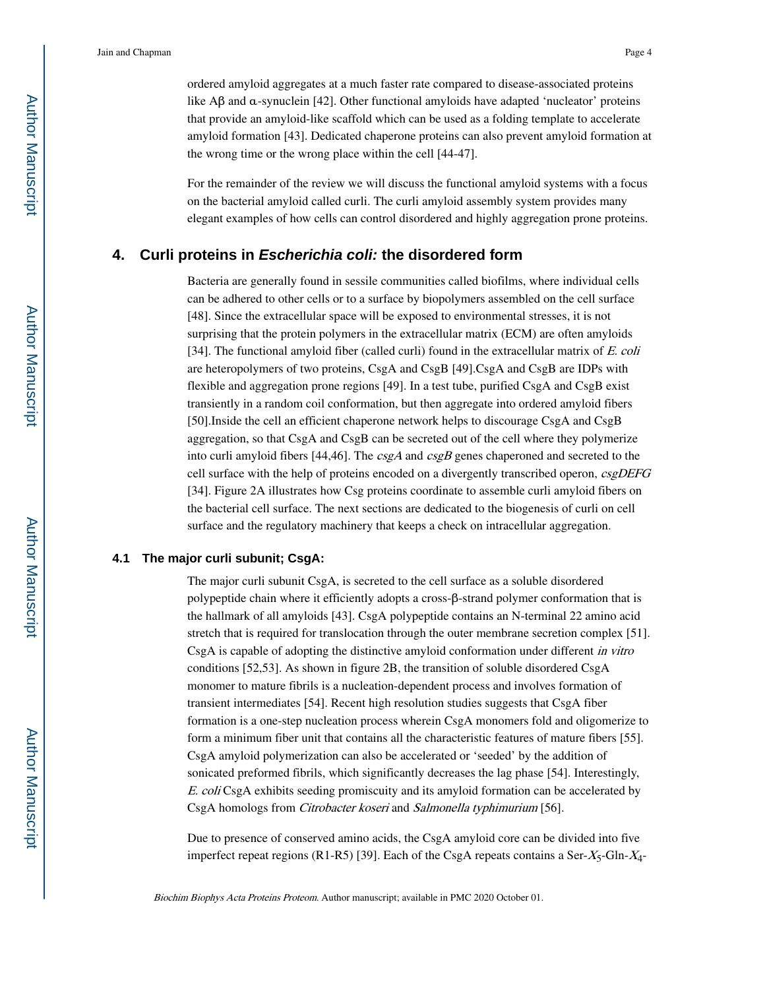ordered amyloid aggregates at a much faster rate compared to disease-associated proteins like Aβ and α-synuclein [42]. Other functional amyloids have adapted 'nucleator' proteins that provide an amyloid-like scaffold which can be used as a folding template to accelerate amyloid formation [43]. Dedicated chaperone proteins can also prevent amyloid formation at the wrong time or the wrong place within the cell [44-47].

For the remainder of the review we will discuss the functional amyloid systems with a focus on the bacterial amyloid called curli. The curli amyloid assembly system provides many elegant examples of how cells can control disordered and highly aggregation prone proteins.

### **4. Curli proteins in Escherichia coli: the disordered form**

Bacteria are generally found in sessile communities called biofilms, where individual cells can be adhered to other cells or to a surface by biopolymers assembled on the cell surface [48]. Since the extracellular space will be exposed to environmental stresses, it is not surprising that the protein polymers in the extracellular matrix (ECM) are often amyloids [34]. The functional amyloid fiber (called curli) found in the extracellular matrix of  $E$ . coli are heteropolymers of two proteins, CsgA and CsgB [49].CsgA and CsgB are IDPs with flexible and aggregation prone regions [49]. In a test tube, purified CsgA and CsgB exist transiently in a random coil conformation, but then aggregate into ordered amyloid fibers [50].Inside the cell an efficient chaperone network helps to discourage CsgA and CsgB aggregation, so that CsgA and CsgB can be secreted out of the cell where they polymerize into curli amyloid fibers [44,46]. The  $csgA$  and  $csgB$  genes chaperoned and secreted to the cell surface with the help of proteins encoded on a divergently transcribed operon, csgDEFG [34]. Figure 2A illustrates how Csg proteins coordinate to assemble curli amyloid fibers on the bacterial cell surface. The next sections are dedicated to the biogenesis of curli on cell surface and the regulatory machinery that keeps a check on intracellular aggregation.

### **4.1 The major curli subunit; CsgA:**

The major curli subunit CsgA, is secreted to the cell surface as a soluble disordered polypeptide chain where it efficiently adopts a cross-β-strand polymer conformation that is the hallmark of all amyloids [43]. CsgA polypeptide contains an N-terminal 22 amino acid stretch that is required for translocation through the outer membrane secretion complex [51]. CsgA is capable of adopting the distinctive amyloid conformation under different in vitro conditions [52,53]. As shown in figure 2B, the transition of soluble disordered CsgA monomer to mature fibrils is a nucleation-dependent process and involves formation of transient intermediates [54]. Recent high resolution studies suggests that CsgA fiber formation is a one-step nucleation process wherein CsgA monomers fold and oligomerize to form a minimum fiber unit that contains all the characteristic features of mature fibers [55]. CsgA amyloid polymerization can also be accelerated or 'seeded' by the addition of sonicated preformed fibrils, which significantly decreases the lag phase [54]. Interestingly, E. coli CsgA exhibits seeding promiscuity and its amyloid formation can be accelerated by CsgA homologs from Citrobacter koseri and Salmonella typhimurium [56].

Due to presence of conserved amino acids, the CsgA amyloid core can be divided into five imperfect repeat regions (R1-R5) [39]. Each of the CsgA repeats contains a Ser- $X_5$ -Gln- $X_4$ -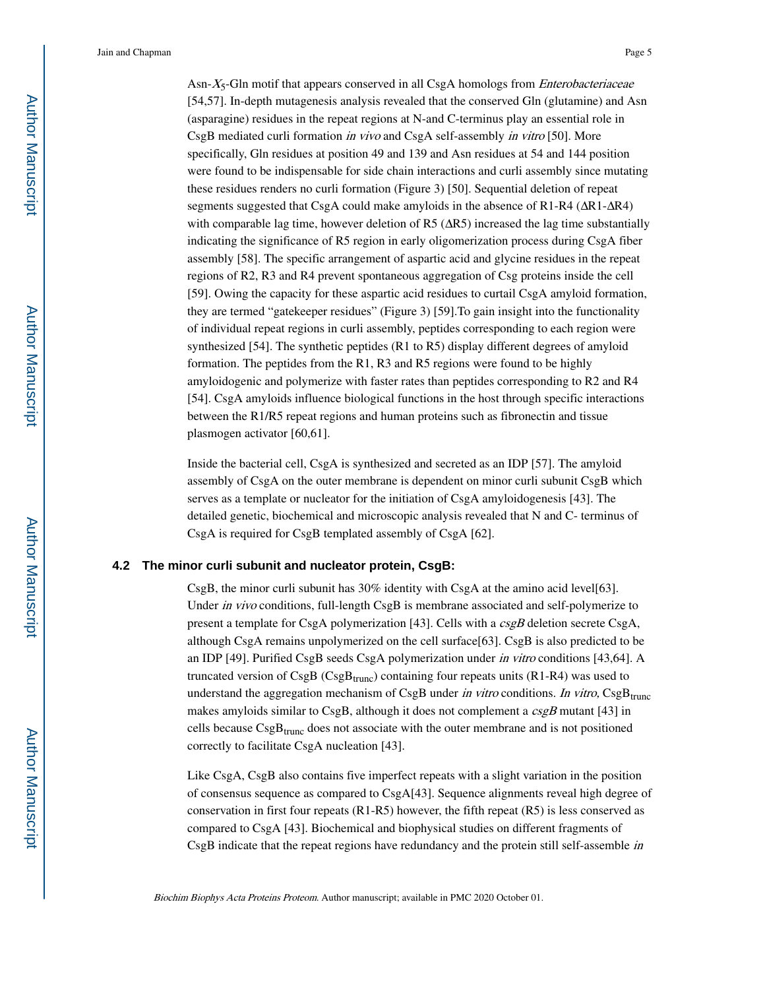Asn- $X_5$ -Gln motif that appears conserved in all CsgA homologs from *Enterobacteriaceae* [54,57]. In-depth mutagenesis analysis revealed that the conserved Gln (glutamine) and Asn (asparagine) residues in the repeat regions at N-and C-terminus play an essential role in CsgB mediated curli formation in vivo and CsgA self-assembly in vitro [50]. More specifically, Gln residues at position 49 and 139 and Asn residues at 54 and 144 position were found to be indispensable for side chain interactions and curli assembly since mutating these residues renders no curli formation (Figure 3) [50]. Sequential deletion of repeat segments suggested that CsgA could make amyloids in the absence of R1-R4 (ΔR1-ΔR4) with comparable lag time, however deletion of R5  $( \Delta R5)$  increased the lag time substantially indicating the significance of R5 region in early oligomerization process during CsgA fiber assembly [58]. The specific arrangement of aspartic acid and glycine residues in the repeat regions of R2, R3 and R4 prevent spontaneous aggregation of Csg proteins inside the cell [59]. Owing the capacity for these aspartic acid residues to curtail CsgA amyloid formation, they are termed "gatekeeper residues" (Figure 3) [59].To gain insight into the functionality of individual repeat regions in curli assembly, peptides corresponding to each region were synthesized [54]. The synthetic peptides (R1 to R5) display different degrees of amyloid formation. The peptides from the R1, R3 and R5 regions were found to be highly amyloidogenic and polymerize with faster rates than peptides corresponding to R2 and R4 [54]. CsgA amyloids influence biological functions in the host through specific interactions between the R1/R5 repeat regions and human proteins such as fibronectin and tissue plasmogen activator [60,61].

Inside the bacterial cell, CsgA is synthesized and secreted as an IDP [57]. The amyloid assembly of CsgA on the outer membrane is dependent on minor curli subunit CsgB which serves as a template or nucleator for the initiation of CsgA amyloidogenesis [43]. The detailed genetic, biochemical and microscopic analysis revealed that N and C- terminus of CsgA is required for CsgB templated assembly of CsgA [62].

#### **4.2 The minor curli subunit and nucleator protein, CsgB:**

CsgB, the minor curli subunit has 30% identity with CsgA at the amino acid level[63]. Under *in vivo* conditions, full-length CsgB is membrane associated and self-polymerize to present a template for CsgA polymerization [43]. Cells with a  $csgB$  deletion secrete CsgA, although CsgA remains unpolymerized on the cell surface[63]. CsgB is also predicted to be an IDP [49]. Purified CsgB seeds CsgA polymerization under in vitro conditions [43,64]. A truncated version of  $CsgB(CsgB<sub>trunc</sub>)$  containing four repeats units (R1-R4) was used to understand the aggregation mechanism of CsgB under in vitro conditions. In vitro,  $CsgB_{trunc}$ makes amyloids similar to CsgB, although it does not complement a  $csgB$  mutant [43] in cells because  $CsgB<sub>trunc</sub>$  does not associate with the outer membrane and is not positioned correctly to facilitate CsgA nucleation [43].

Like CsgA, CsgB also contains five imperfect repeats with a slight variation in the position of consensus sequence as compared to CsgA[43]. Sequence alignments reveal high degree of conservation in first four repeats  $(R1-R5)$  however, the fifth repeat  $(R5)$  is less conserved as compared to CsgA [43]. Biochemical and biophysical studies on different fragments of CsgB indicate that the repeat regions have redundancy and the protein still self-assemble in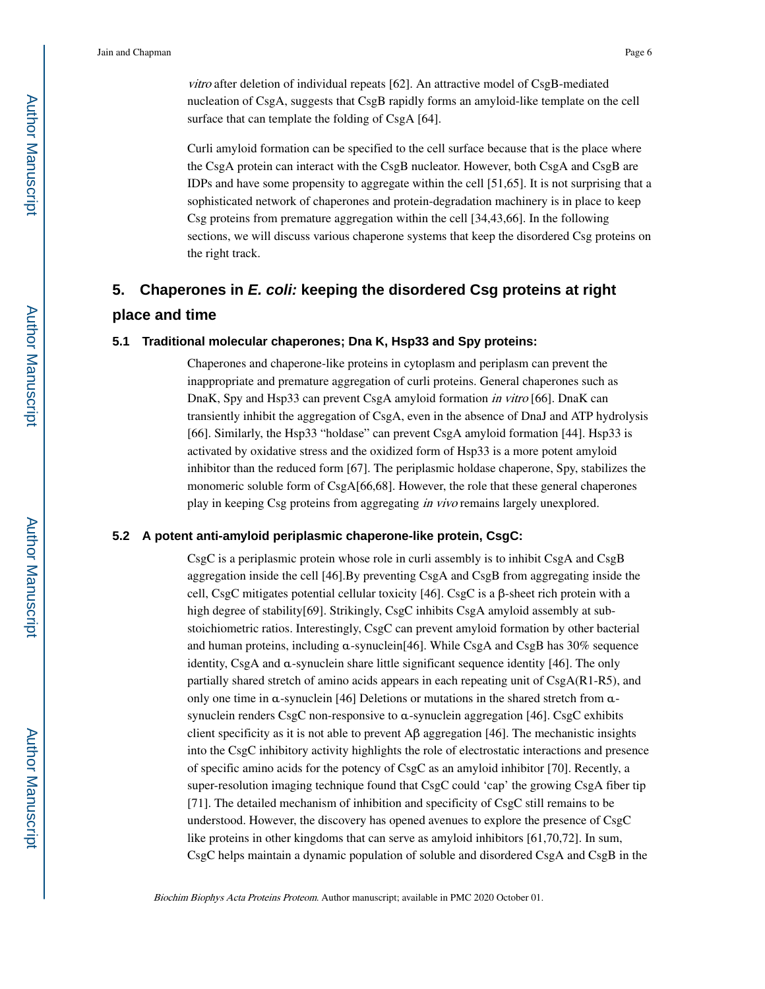vitro after deletion of individual repeats [62]. An attractive model of CsgB-mediated nucleation of CsgA, suggests that CsgB rapidly forms an amyloid-like template on the cell surface that can template the folding of CsgA [64].

Curli amyloid formation can be specified to the cell surface because that is the place where the CsgA protein can interact with the CsgB nucleator. However, both CsgA and CsgB are IDPs and have some propensity to aggregate within the cell [51,65]. It is not surprising that a sophisticated network of chaperones and protein-degradation machinery is in place to keep Csg proteins from premature aggregation within the cell [34,43,66]. In the following sections, we will discuss various chaperone systems that keep the disordered Csg proteins on the right track.

# **5. Chaperones in E. coli: keeping the disordered Csg proteins at right place and time**

### **5.1 Traditional molecular chaperones; Dna K, Hsp33 and Spy proteins:**

Chaperones and chaperone-like proteins in cytoplasm and periplasm can prevent the inappropriate and premature aggregation of curli proteins. General chaperones such as DnaK, Spy and Hsp33 can prevent CsgA amyloid formation in vitro [66]. DnaK can transiently inhibit the aggregation of CsgA, even in the absence of DnaJ and ATP hydrolysis [66]. Similarly, the Hsp33 "holdase" can prevent CsgA amyloid formation [44]. Hsp33 is activated by oxidative stress and the oxidized form of Hsp33 is a more potent amyloid inhibitor than the reduced form [67]. The periplasmic holdase chaperone, Spy, stabilizes the monomeric soluble form of CsgA[66,68]. However, the role that these general chaperones play in keeping Csg proteins from aggregating in vivo remains largely unexplored.

### **5.2 A potent anti-amyloid periplasmic chaperone-like protein, CsgC:**

CsgC is a periplasmic protein whose role in curli assembly is to inhibit CsgA and CsgB aggregation inside the cell [46].By preventing CsgA and CsgB from aggregating inside the cell, CsgC mitigates potential cellular toxicity [46]. CsgC is a β-sheet rich protein with a high degree of stability[69]. Strikingly, CsgC inhibits CsgA amyloid assembly at substoichiometric ratios. Interestingly, CsgC can prevent amyloid formation by other bacterial and human proteins, including α-synuclein[46]. While CsgA and CsgB has 30% sequence identity, CsgA and α-synuclein share little significant sequence identity [46]. The only partially shared stretch of amino acids appears in each repeating unit of CsgA(R1-R5), and only one time in α-synuclein [46] Deletions or mutations in the shared stretch from αsynuclein renders CsgC non-responsive to  $\alpha$ -synuclein aggregation [46]. CsgC exhibits client specificity as it is not able to prevent  $\mathbf{A}\beta$  aggregation [46]. The mechanistic insights into the CsgC inhibitory activity highlights the role of electrostatic interactions and presence of specific amino acids for the potency of CsgC as an amyloid inhibitor [70]. Recently, a super-resolution imaging technique found that CsgC could 'cap' the growing CsgA fiber tip [71]. The detailed mechanism of inhibition and specificity of CsgC still remains to be understood. However, the discovery has opened avenues to explore the presence of CsgC like proteins in other kingdoms that can serve as amyloid inhibitors [61,70,72]. In sum, CsgC helps maintain a dynamic population of soluble and disordered CsgA and CsgB in the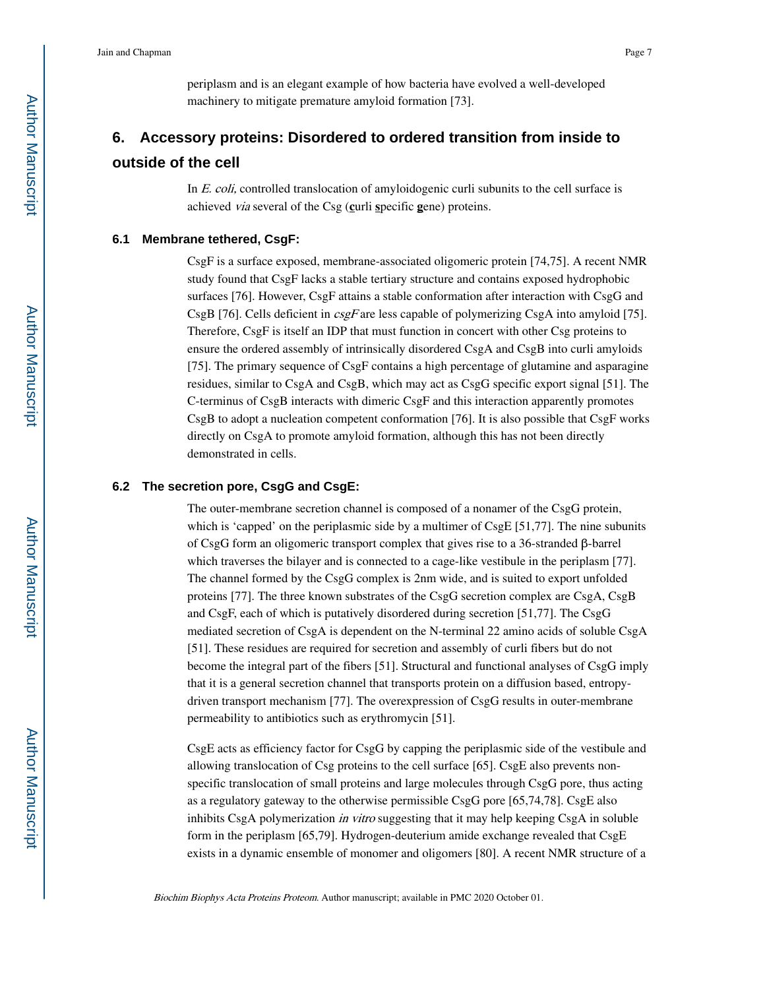periplasm and is an elegant example of how bacteria have evolved a well-developed machinery to mitigate premature amyloid formation [73].

# **6. Accessory proteins: Disordered to ordered transition from inside to outside of the cell**

In *E. coli*, controlled translocation of amyloidogenic curli subunits to the cell surface is achieved via several of the Csg (**c**urli **s**pecific **g**ene) proteins.

#### **6.1 Membrane tethered, CsgF:**

CsgF is a surface exposed, membrane-associated oligomeric protein [74,75]. A recent NMR study found that CsgF lacks a stable tertiary structure and contains exposed hydrophobic surfaces [76]. However, CsgF attains a stable conformation after interaction with CsgG and CsgB [76]. Cells deficient in  $csgF$  are less capable of polymerizing CsgA into amyloid [75]. Therefore, CsgF is itself an IDP that must function in concert with other Csg proteins to ensure the ordered assembly of intrinsically disordered CsgA and CsgB into curli amyloids [75]. The primary sequence of CsgF contains a high percentage of glutamine and asparagine residues, similar to CsgA and CsgB, which may act as CsgG specific export signal [51]. The C-terminus of CsgB interacts with dimeric CsgF and this interaction apparently promotes CsgB to adopt a nucleation competent conformation [76]. It is also possible that CsgF works directly on CsgA to promote amyloid formation, although this has not been directly demonstrated in cells.

### **6.2 The secretion pore, CsgG and CsgE:**

The outer-membrane secretion channel is composed of a nonamer of the CsgG protein, which is 'capped' on the periplasmic side by a multimer of CsgE [51,77]. The nine subunits of CsgG form an oligomeric transport complex that gives rise to a 36-stranded β-barrel which traverses the bilayer and is connected to a cage-like vestibule in the periplasm [77]. The channel formed by the CsgG complex is 2nm wide, and is suited to export unfolded proteins [77]. The three known substrates of the CsgG secretion complex are CsgA, CsgB and CsgF, each of which is putatively disordered during secretion [51,77]. The CsgG mediated secretion of CsgA is dependent on the N-terminal 22 amino acids of soluble CsgA [51]. These residues are required for secretion and assembly of curli fibers but do not become the integral part of the fibers [51]. Structural and functional analyses of CsgG imply that it is a general secretion channel that transports protein on a diffusion based, entropydriven transport mechanism [77]. The overexpression of CsgG results in outer-membrane permeability to antibiotics such as erythromycin [51].

CsgE acts as efficiency factor for CsgG by capping the periplasmic side of the vestibule and allowing translocation of Csg proteins to the cell surface [65]. CsgE also prevents nonspecific translocation of small proteins and large molecules through CsgG pore, thus acting as a regulatory gateway to the otherwise permissible CsgG pore [65,74,78]. CsgE also inhibits CsgA polymerization *in vitro* suggesting that it may help keeping CsgA in soluble form in the periplasm [65,79]. Hydrogen-deuterium amide exchange revealed that CsgE exists in a dynamic ensemble of monomer and oligomers [80]. A recent NMR structure of a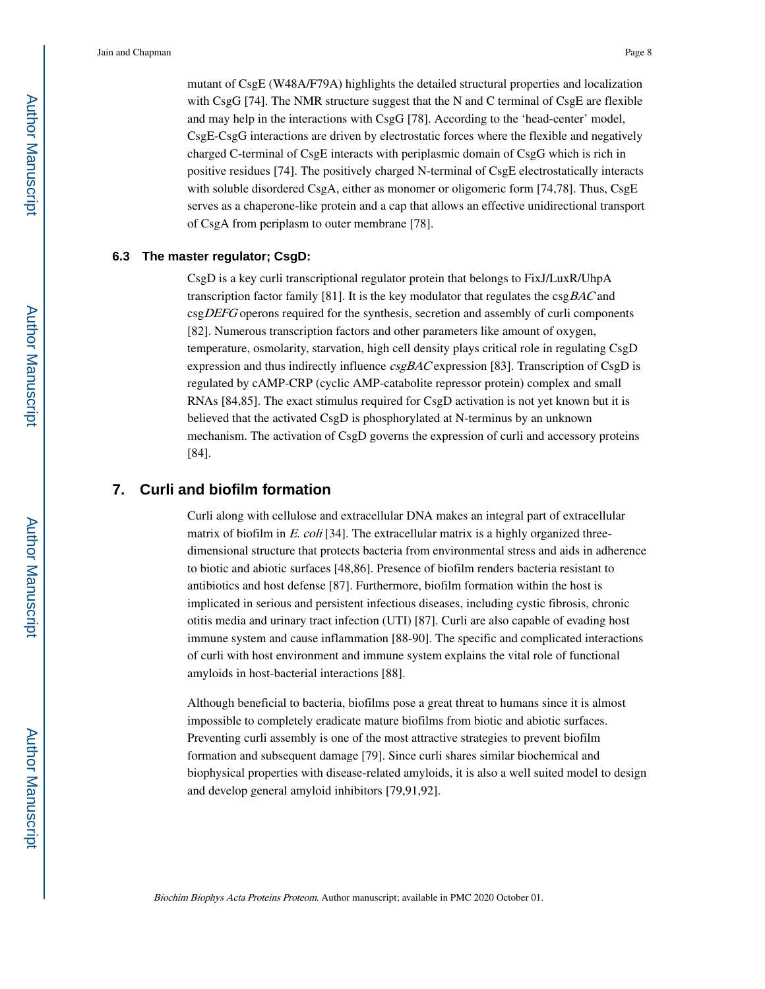mutant of CsgE (W48A/F79A) highlights the detailed structural properties and localization with CsgG [74]. The NMR structure suggest that the N and C terminal of CsgE are flexible and may help in the interactions with CsgG [78]. According to the 'head-center' model, CsgE-CsgG interactions are driven by electrostatic forces where the flexible and negatively charged C-terminal of CsgE interacts with periplasmic domain of CsgG which is rich in positive residues [74]. The positively charged N-terminal of CsgE electrostatically interacts with soluble disordered CsgA, either as monomer or oligomeric form [74,78]. Thus, CsgE serves as a chaperone-like protein and a cap that allows an effective unidirectional transport of CsgA from periplasm to outer membrane [78].

### **6.3 The master regulator; CsgD:**

CsgD is a key curli transcriptional regulator protein that belongs to FixJ/LuxR/UhpA transcription factor family [81]. It is the key modulator that regulates the  $csgBAC$  and csgDEFG operons required for the synthesis, secretion and assembly of curli components [82]. Numerous transcription factors and other parameters like amount of oxygen, temperature, osmolarity, starvation, high cell density plays critical role in regulating CsgD expression and thus indirectly influence  $csgBAC$  expression [83]. Transcription of CsgD is regulated by cAMP-CRP (cyclic AMP-catabolite repressor protein) complex and small RNAs [84,85]. The exact stimulus required for CsgD activation is not yet known but it is believed that the activated CsgD is phosphorylated at N-terminus by an unknown mechanism. The activation of CsgD governs the expression of curli and accessory proteins [84].

## **7. Curli and biofilm formation**

Curli along with cellulose and extracellular DNA makes an integral part of extracellular matrix of biofilm in  $E.$  coli [34]. The extracellular matrix is a highly organized threedimensional structure that protects bacteria from environmental stress and aids in adherence to biotic and abiotic surfaces [48,86]. Presence of biofilm renders bacteria resistant to antibiotics and host defense [87]. Furthermore, biofilm formation within the host is implicated in serious and persistent infectious diseases, including cystic fibrosis, chronic otitis media and urinary tract infection (UTI) [87]. Curli are also capable of evading host immune system and cause inflammation [88-90]. The specific and complicated interactions of curli with host environment and immune system explains the vital role of functional amyloids in host-bacterial interactions [88].

Although beneficial to bacteria, biofilms pose a great threat to humans since it is almost impossible to completely eradicate mature biofilms from biotic and abiotic surfaces. Preventing curli assembly is one of the most attractive strategies to prevent biofilm formation and subsequent damage [79]. Since curli shares similar biochemical and biophysical properties with disease-related amyloids, it is also a well suited model to design and develop general amyloid inhibitors [79,91,92].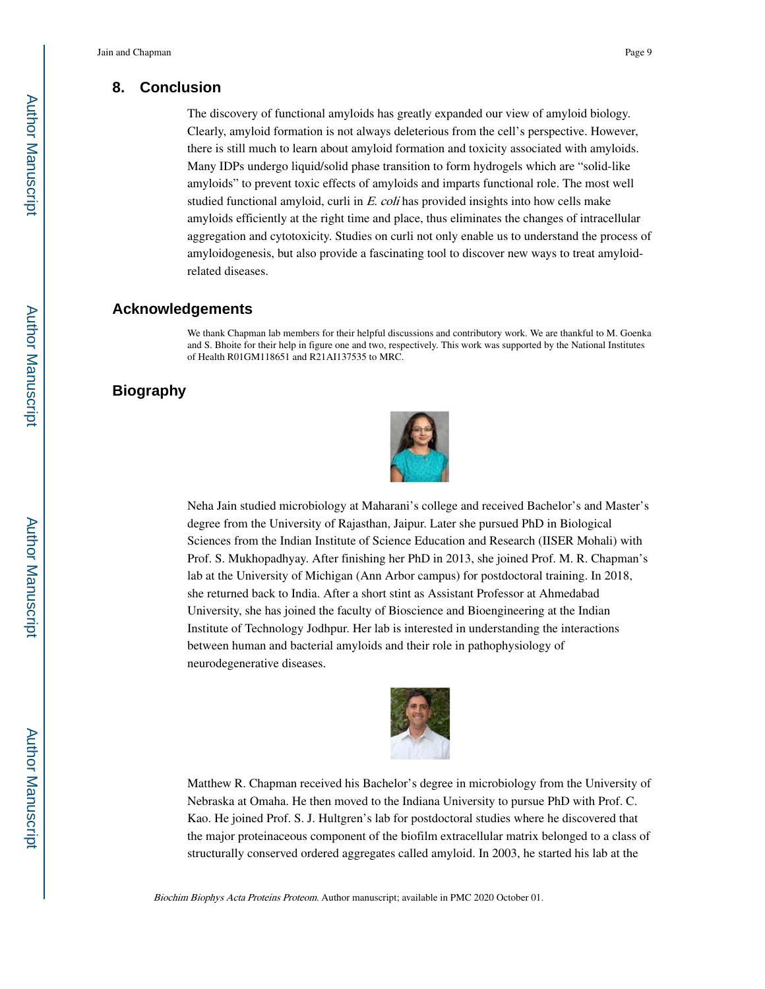### **8. Conclusion**

The discovery of functional amyloids has greatly expanded our view of amyloid biology. Clearly, amyloid formation is not always deleterious from the cell's perspective. However, there is still much to learn about amyloid formation and toxicity associated with amyloids. Many IDPs undergo liquid/solid phase transition to form hydrogels which are "solid-like amyloids" to prevent toxic effects of amyloids and imparts functional role. The most well studied functional amyloid, curli in E. coli has provided insights into how cells make amyloids efficiently at the right time and place, thus eliminates the changes of intracellular aggregation and cytotoxicity. Studies on curli not only enable us to understand the process of amyloidogenesis, but also provide a fascinating tool to discover new ways to treat amyloidrelated diseases.

### **Acknowledgements**

We thank Chapman lab members for their helpful discussions and contributory work. We are thankful to M. Goenka and S. Bhoite for their help in figure one and two, respectively. This work was supported by the National Institutes of Health R01GM118651 and R21AI137535 to MRC.

## **Biography**



Neha Jain studied microbiology at Maharani's college and received Bachelor's and Master's degree from the University of Rajasthan, Jaipur. Later she pursued PhD in Biological Sciences from the Indian Institute of Science Education and Research (IISER Mohali) with Prof. S. Mukhopadhyay. After finishing her PhD in 2013, she joined Prof. M. R. Chapman's lab at the University of Michigan (Ann Arbor campus) for postdoctoral training. In 2018, she returned back to India. After a short stint as Assistant Professor at Ahmedabad University, she has joined the faculty of Bioscience and Bioengineering at the Indian Institute of Technology Jodhpur. Her lab is interested in understanding the interactions between human and bacterial amyloids and their role in pathophysiology of neurodegenerative diseases.



Matthew R. Chapman received his Bachelor's degree in microbiology from the University of Nebraska at Omaha. He then moved to the Indiana University to pursue PhD with Prof. C. Kao. He joined Prof. S. J. Hultgren's lab for postdoctoral studies where he discovered that the major proteinaceous component of the biofilm extracellular matrix belonged to a class of structurally conserved ordered aggregates called amyloid. In 2003, he started his lab at the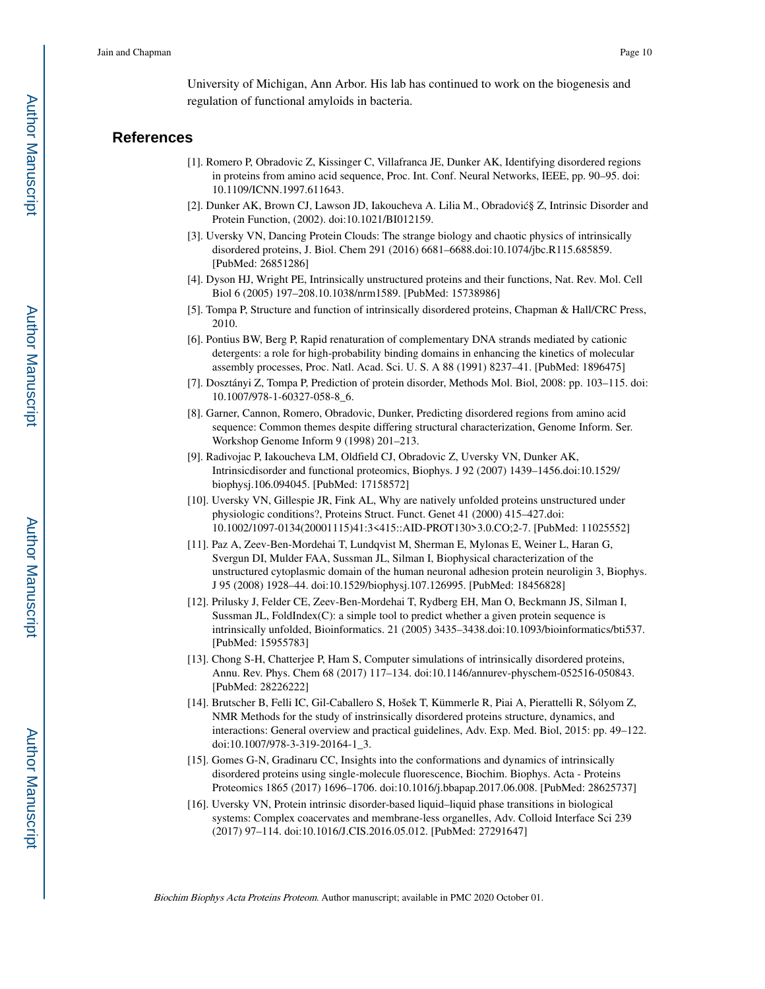University of Michigan, Ann Arbor. His lab has continued to work on the biogenesis and regulation of functional amyloids in bacteria.

### **References**

- [1]. Romero P, Obradovic Z, Kissinger C, Villafranca JE, Dunker AK, Identifying disordered regions in proteins from amino acid sequence, Proc. Int. Conf. Neural Networks, IEEE, pp. 90–95. doi: 10.1109/ICNN.1997.611643.
- [2]. Dunker AK, Brown CJ, Lawson JD, Iakoucheva A. Lilia M., Obradović§ Z, Intrinsic Disorder and Protein Function, (2002). doi:10.1021/BI012159.
- [3]. Uversky VN, Dancing Protein Clouds: The strange biology and chaotic physics of intrinsically disordered proteins, J. Biol. Chem 291 (2016) 6681–6688.doi:10.1074/jbc.R115.685859. [PubMed: 26851286]
- [4]. Dyson HJ, Wright PE, Intrinsically unstructured proteins and their functions, Nat. Rev. Mol. Cell Biol 6 (2005) 197–208.10.1038/nrm1589. [PubMed: 15738986]
- [5]. Tompa P, Structure and function of intrinsically disordered proteins, Chapman & Hall/CRC Press, 2010.
- [6]. Pontius BW, Berg P, Rapid renaturation of complementary DNA strands mediated by cationic detergents: a role for high-probability binding domains in enhancing the kinetics of molecular assembly processes, Proc. Natl. Acad. Sci. U. S. A 88 (1991) 8237–41. [PubMed: 1896475]
- [7]. Dosztányi Z, Tompa P, Prediction of protein disorder, Methods Mol. Biol, 2008: pp. 103–115. doi: 10.1007/978-1-60327-058-8\_6.
- [8]. Garner, Cannon, Romero, Obradovic, Dunker, Predicting disordered regions from amino acid sequence: Common themes despite differing structural characterization, Genome Inform. Ser. Workshop Genome Inform 9 (1998) 201–213.
- [9]. Radivojac P, Iakoucheva LM, Oldfield CJ, Obradovic Z, Uversky VN, Dunker AK, Intrinsicdisorder and functional proteomics, Biophys. J 92 (2007) 1439–1456.doi:10.1529/ biophysj.106.094045. [PubMed: 17158572]
- [10]. Uversky VN, Gillespie JR, Fink AL, Why are natively unfolded proteins unstructured under physiologic conditions?, Proteins Struct. Funct. Genet 41 (2000) 415–427.doi: 10.1002/1097-0134(20001115)41:3<415::AID-PROT130>3.0.CO;2-7. [PubMed: 11025552]
- [11]. Paz A, Zeev-Ben-Mordehai T, Lundqvist M, Sherman E, Mylonas E, Weiner L, Haran G, Svergun DI, Mulder FAA, Sussman JL, Silman I, Biophysical characterization of the unstructured cytoplasmic domain of the human neuronal adhesion protein neuroligin 3, Biophys. J 95 (2008) 1928–44. doi:10.1529/biophysj.107.126995. [PubMed: 18456828]
- [12]. Prilusky J, Felder CE, Zeev-Ben-Mordehai T, Rydberg EH, Man O, Beckmann JS, Silman I, Sussman JL, FoldIndex(C): a simple tool to predict whether a given protein sequence is intrinsically unfolded, Bioinformatics. 21 (2005) 3435–3438.doi:10.1093/bioinformatics/bti537. [PubMed: 15955783]
- [13]. Chong S-H, Chatterjee P, Ham S, Computer simulations of intrinsically disordered proteins, Annu. Rev. Phys. Chem 68 (2017) 117–134. doi:10.1146/annurev-physchem-052516-050843. [PubMed: 28226222]
- [14]. Brutscher B, Felli IC, Gil-Caballero S, Hošek T, Kümmerle R, Piai A, Pierattelli R, Sólyom Z, NMR Methods for the study of instrinsically disordered proteins structure, dynamics, and interactions: General overview and practical guidelines, Adv. Exp. Med. Biol, 2015: pp. 49–122. doi:10.1007/978-3-319-20164-1\_3.
- [15]. Gomes G-N, Gradinaru CC, Insights into the conformations and dynamics of intrinsically disordered proteins using single-molecule fluorescence, Biochim. Biophys. Acta - Proteins Proteomics 1865 (2017) 1696–1706. doi:10.1016/j.bbapap.2017.06.008. [PubMed: 28625737]
- [16]. Uversky VN, Protein intrinsic disorder-based liquid–liquid phase transitions in biological systems: Complex coacervates and membrane-less organelles, Adv. Colloid Interface Sci 239 (2017) 97–114. doi:10.1016/J.CIS.2016.05.012. [PubMed: 27291647]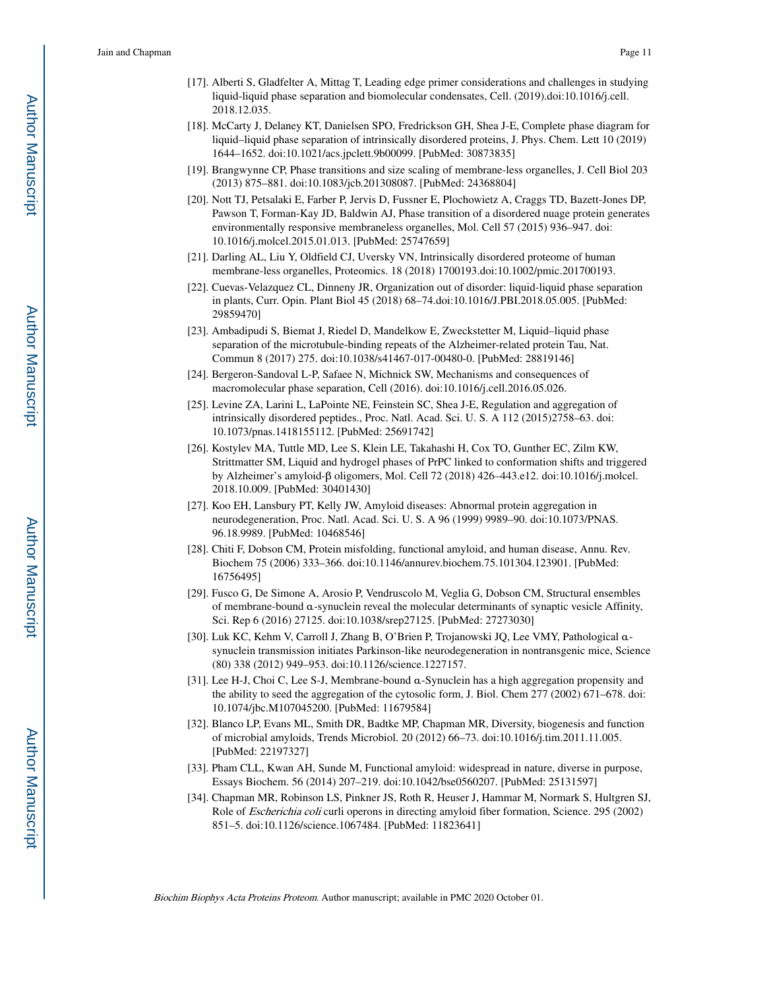- [17]. Alberti S, Gladfelter A, Mittag T, Leading edge primer considerations and challenges in studying liquid-liquid phase separation and biomolecular condensates, Cell. (2019).doi:10.1016/j.cell. 2018.12.035.
- [18]. McCarty J, Delaney KT, Danielsen SPO, Fredrickson GH, Shea J-E, Complete phase diagram for liquid–liquid phase separation of intrinsically disordered proteins, J. Phys. Chem. Lett 10 (2019) 1644–1652. doi:10.1021/acs.jpclett.9b00099. [PubMed: 30873835]
- [19]. Brangwynne CP, Phase transitions and size scaling of membrane-less organelles, J. Cell Biol 203 (2013) 875–881. doi:10.1083/jcb.201308087. [PubMed: 24368804]
- [20]. Nott TJ, Petsalaki E, Farber P, Jervis D, Fussner E, Plochowietz A, Craggs TD, Bazett-Jones DP, Pawson T, Forman-Kay JD, Baldwin AJ, Phase transition of a disordered nuage protein generates environmentally responsive membraneless organelles, Mol. Cell 57 (2015) 936–947. doi: 10.1016/j.molcel.2015.01.013. [PubMed: 25747659]
- [21]. Darling AL, Liu Y, Oldfield CJ, Uversky VN, Intrinsically disordered proteome of human membrane-less organelles, Proteomics. 18 (2018) 1700193.doi:10.1002/pmic.201700193.
- [22]. Cuevas-Velazquez CL, Dinneny JR, Organization out of disorder: liquid-liquid phase separation in plants, Curr. Opin. Plant Biol 45 (2018) 68–74.doi:10.1016/J.PBI.2018.05.005. [PubMed: 29859470]
- [23]. Ambadipudi S, Biemat J, Riedel D, Mandelkow E, Zweckstetter M, Liquid–liquid phase separation of the microtubule-binding repeats of the Alzheimer-related protein Tau, Nat. Commun 8 (2017) 275. doi:10.1038/s41467-017-00480-0. [PubMed: 28819146]
- [24]. Bergeron-Sandoval L-P, Safaee N, Michnick SW, Mechanisms and consequences of macromolecular phase separation, Cell (2016). doi:10.1016/j.cell.2016.05.026.
- [25]. Levine ZA, Larini L, LaPointe NE, Feinstein SC, Shea J-E, Regulation and aggregation of intrinsically disordered peptides., Proc. Natl. Acad. Sci. U. S. A 112 (2015)2758–63. doi: 10.1073/pnas.1418155112. [PubMed: 25691742]
- [26]. Kostylev MA, Tuttle MD, Lee S, Klein LE, Takahashi H, Cox TO, Gunther EC, Zilm KW, Strittmatter SM, Liquid and hydrogel phases of PrPC linked to conformation shifts and triggered by Alzheimer's amyloid-β oligomers, Mol. Cell 72 (2018) 426–443.e12. doi:10.1016/j.molcel. 2018.10.009. [PubMed: 30401430]
- [27]. Koo EH, Lansbury PT, Kelly JW, Amyloid diseases: Abnormal protein aggregation in neurodegeneration, Proc. Natl. Acad. Sci. U. S. A 96 (1999) 9989–90. doi:10.1073/PNAS. 96.18.9989. [PubMed: 10468546]
- [28]. Chiti F, Dobson CM, Protein misfolding, functional amyloid, and human disease, Annu. Rev. Biochem 75 (2006) 333–366. doi:10.1146/annurev.biochem.75.101304.123901. [PubMed: 16756495]
- [29]. Fusco G, De Simone A, Arosio P, Vendruscolo M, Veglia G, Dobson CM, Structural ensembles of membrane-bound α-synuclein reveal the molecular determinants of synaptic vesicle Affinity, Sci. Rep 6 (2016) 27125. doi:10.1038/srep27125. [PubMed: 27273030]
- [30]. Luk KC, Kehm V, Carroll J, Zhang B, O'Brien P, Trojanowski JQ, Lee VMY, Pathological αsynuclein transmission initiates Parkinson-like neurodegeneration in nontransgenic mice, Science (80) 338 (2012) 949–953. doi:10.1126/science.1227157.
- [31]. Lee H-J, Choi C, Lee S-J, Membrane-bound α-Synuclein has a high aggregation propensity and the ability to seed the aggregation of the cytosolic form, J. Biol. Chem 277 (2002) 671–678. doi: 10.1074/jbc.M107045200. [PubMed: 11679584]
- [32]. Blanco LP, Evans ML, Smith DR, Badtke MP, Chapman MR, Diversity, biogenesis and function of microbial amyloids, Trends Microbiol. 20 (2012) 66–73. doi:10.1016/j.tim.2011.11.005. [PubMed: 22197327]
- [33]. Pham CLL, Kwan AH, Sunde M, Functional amyloid: widespread in nature, diverse in purpose, Essays Biochem. 56 (2014) 207–219. doi:10.1042/bse0560207. [PubMed: 25131597]
- [34]. Chapman MR, Robinson LS, Pinkner JS, Roth R, Heuser J, Hammar M, Normark S, Hultgren SJ, Role of Escherichia coli curli operons in directing amyloid fiber formation, Science. 295 (2002) 851–5. doi:10.1126/science.1067484. [PubMed: 11823641]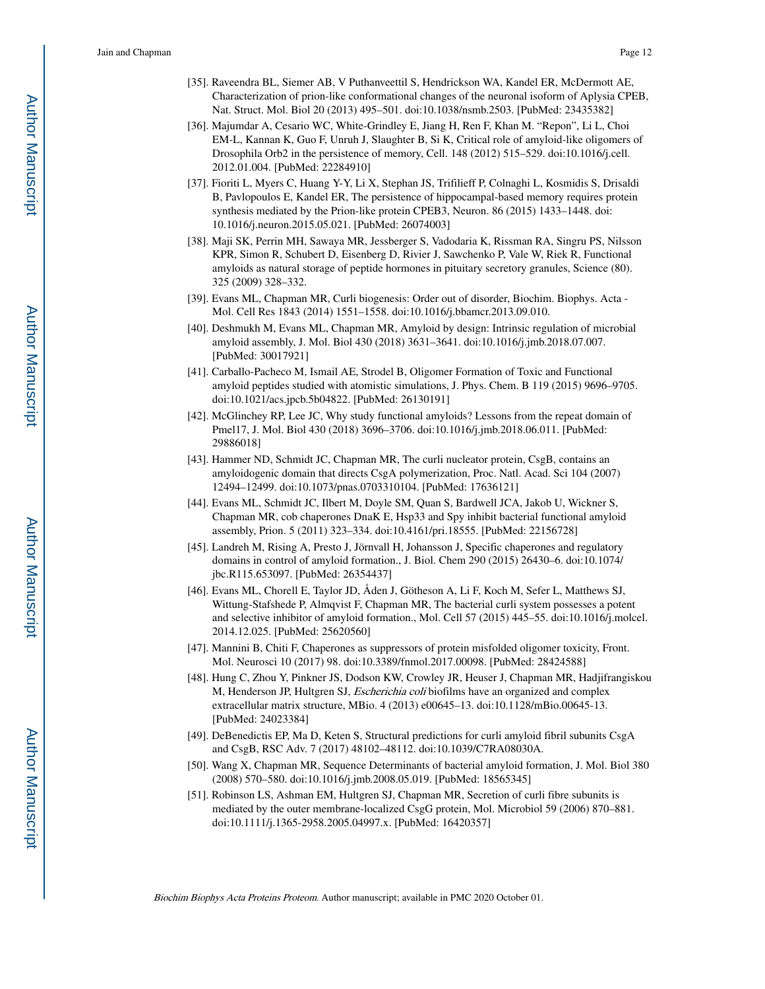- [35]. Raveendra BL, Siemer AB, V Puthanveettil S, Hendrickson WA, Kandel ER, McDermott AE, Characterization of prion-like conformational changes of the neuronal isoform of Aplysia CPEB, Nat. Struct. Mol. Biol 20 (2013) 495–501. doi:10.1038/nsmb.2503. [PubMed: 23435382]
- [36]. Majumdar A, Cesario WC, White-Grindley E, Jiang H, Ren F, Khan M. "Repon", Li L, Choi EM-L, Kannan K, Guo F, Unruh J, Slaughter B, Si K, Critical role of amyloid-like oligomers of Drosophila Orb2 in the persistence of memory, Cell. 148 (2012) 515–529. doi:10.1016/j.cell. 2012.01.004. [PubMed: 22284910]
- [37]. Fioriti L, Myers C, Huang Y-Y, Li X, Stephan JS, Trifilieff P, Colnaghi L, Kosmidis S, Drisaldi B, Pavlopoulos E, Kandel ER, The persistence of hippocampal-based memory requires protein synthesis mediated by the Prion-like protein CPEB3, Neuron. 86 (2015) 1433–1448. doi: 10.1016/j.neuron.2015.05.021. [PubMed: 26074003]
- [38]. Maji SK, Perrin MH, Sawaya MR, Jessberger S, Vadodaria K, Rissman RA, Singru PS, Nilsson KPR, Simon R, Schubert D, Eisenberg D, Rivier J, Sawchenko P, Vale W, Riek R, Functional amyloids as natural storage of peptide hormones in pituitary secretory granules, Science (80). 325 (2009) 328–332.
- [39]. Evans ML, Chapman MR, Curli biogenesis: Order out of disorder, Biochim. Biophys. Acta Mol. Cell Res 1843 (2014) 1551–1558. doi:10.1016/j.bbamcr.2013.09.010.
- [40]. Deshmukh M, Evans ML, Chapman MR, Amyloid by design: Intrinsic regulation of microbial amyloid assembly, J. Mol. Biol 430 (2018) 3631–3641. doi:10.1016/j.jmb.2018.07.007. [PubMed: 30017921]
- [41]. Carballo-Pacheco M, Ismail AE, Strodel B, Oligomer Formation of Toxic and Functional amyloid peptides studied with atomistic simulations, J. Phys. Chem. B 119 (2015) 9696–9705. doi:10.1021/acs.jpcb.5b04822. [PubMed: 26130191]
- [42]. McGlinchey RP, Lee JC, Why study functional amyloids? Lessons from the repeat domain of Pmel17, J. Mol. Biol 430 (2018) 3696–3706. doi:10.1016/j.jmb.2018.06.011. [PubMed: 29886018]
- [43]. Hammer ND, Schmidt JC, Chapman MR, The curli nucleator protein, CsgB, contains an amyloidogenic domain that directs CsgA polymerization, Proc. Natl. Acad. Sci 104 (2007) 12494–12499. doi:10.1073/pnas.0703310104. [PubMed: 17636121]
- [44]. Evans ML, Schmidt JC, Ilbert M, Doyle SM, Quan S, Bardwell JCA, Jakob U, Wickner S, Chapman MR, cob chaperones DnaK E, Hsp33 and Spy inhibit bacterial functional amyloid assembly, Prion. 5 (2011) 323–334. doi:10.4161/pri.18555. [PubMed: 22156728]
- [45]. Landreh M, Rising A, Presto J, Jörnvall H, Johansson J, Specific chaperones and regulatory domains in control of amyloid formation., J. Biol. Chem 290 (2015) 26430–6. doi:10.1074/ jbc.R115.653097. [PubMed: 26354437]
- [46]. Evans ML, Chorell E, Taylor JD, Åden J, Götheson A, Li F, Koch M, Sefer L, Matthews SJ, Wittung-Stafshede P, Almqvist F, Chapman MR, The bacterial curli system possesses a potent and selective inhibitor of amyloid formation., Mol. Cell 57 (2015) 445–55. doi:10.1016/j.molcel. 2014.12.025. [PubMed: 25620560]
- [47]. Mannini B, Chiti F, Chaperones as suppressors of protein misfolded oligomer toxicity, Front. Mol. Neurosci 10 (2017) 98. doi:10.3389/fnmol.2017.00098. [PubMed: 28424588]
- [48]. Hung C, Zhou Y, Pinkner JS, Dodson KW, Crowley JR, Heuser J, Chapman MR, Hadjifrangiskou M, Henderson JP, Hultgren SJ, Escherichia coli biofilms have an organized and complex extracellular matrix structure, MBio. 4 (2013) e00645–13. doi:10.1128/mBio.00645-13. [PubMed: 24023384]
- [49]. DeBenedictis EP, Ma D, Keten S, Structural predictions for curli amyloid fibril subunits CsgA and CsgB, RSC Adv. 7 (2017) 48102–48112. doi:10.1039/C7RA08030A.
- [50]. Wang X, Chapman MR, Sequence Determinants of bacterial amyloid formation, J. Mol. Biol 380 (2008) 570–580. doi:10.1016/j.jmb.2008.05.019. [PubMed: 18565345]
- [51]. Robinson LS, Ashman EM, Hultgren SJ, Chapman MR, Secretion of curli fibre subunits is mediated by the outer membrane-localized CsgG protein, Mol. Microbiol 59 (2006) 870–881. doi:10.1111/j.1365-2958.2005.04997.x. [PubMed: 16420357]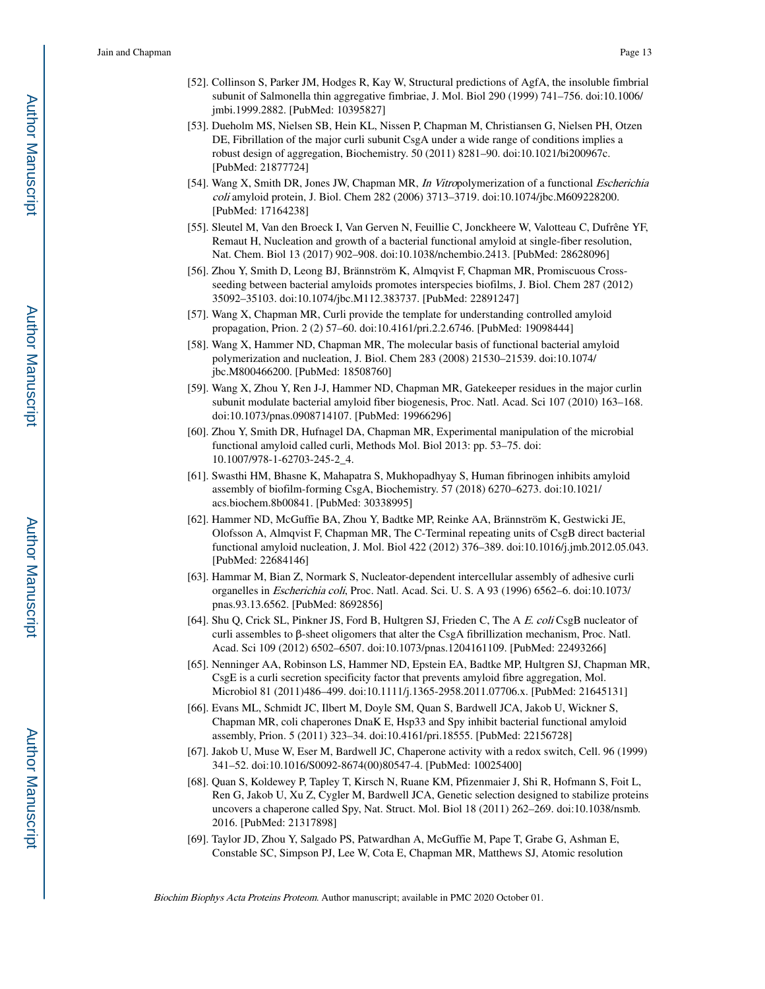- [52]. Collinson S, Parker JM, Hodges R, Kay W, Structural predictions of AgfA, the insoluble fimbrial subunit of Salmonella thin aggregative fimbriae, J. Mol. Biol 290 (1999) 741–756. doi:10.1006/ jmbi.1999.2882. [PubMed: 10395827]
- [53]. Dueholm MS, Nielsen SB, Hein KL, Nissen P, Chapman M, Christiansen G, Nielsen PH, Otzen DE, Fibrillation of the major curli subunit CsgA under a wide range of conditions implies a robust design of aggregation, Biochemistry. 50 (2011) 8281–90. doi:10.1021/bi200967c. [PubMed: 21877724]
- [54]. Wang X, Smith DR, Jones JW, Chapman MR, In Vitropolymerization of a functional Escherichia coli amyloid protein, J. Biol. Chem 282 (2006) 3713–3719. doi:10.1074/jbc.M609228200. [PubMed: 17164238]
- [55]. Sleutel M, Van den Broeck I, Van Gerven N, Feuillie C, Jonckheere W, Valotteau C, Dufrêne YF, Remaut H, Nucleation and growth of a bacterial functional amyloid at single-fiber resolution, Nat. Chem. Biol 13 (2017) 902–908. doi:10.1038/nchembio.2413. [PubMed: 28628096]
- [56]. Zhou Y, Smith D, Leong BJ, Brännström K, Almqvist F, Chapman MR, Promiscuous Crossseeding between bacterial amyloids promotes interspecies biofilms, J. Biol. Chem 287 (2012) 35092–35103. doi:10.1074/jbc.M112.383737. [PubMed: 22891247]
- [57]. Wang X, Chapman MR, Curli provide the template for understanding controlled amyloid propagation, Prion. 2 (2) 57–60. doi:10.4161/pri.2.2.6746. [PubMed: 19098444]
- [58]. Wang X, Hammer ND, Chapman MR, The molecular basis of functional bacterial amyloid polymerization and nucleation, J. Biol. Chem 283 (2008) 21530–21539. doi:10.1074/ jbc.M800466200. [PubMed: 18508760]
- [59]. Wang X, Zhou Y, Ren J-J, Hammer ND, Chapman MR, Gatekeeper residues in the major curlin subunit modulate bacterial amyloid fiber biogenesis, Proc. Natl. Acad. Sci 107 (2010) 163–168. doi:10.1073/pnas.0908714107. [PubMed: 19966296]
- [60]. Zhou Y, Smith DR, Hufnagel DA, Chapman MR, Experimental manipulation of the microbial functional amyloid called curli, Methods Mol. Biol 2013: pp. 53–75. doi: 10.1007/978-1-62703-245-2\_4.
- [61]. Swasthi HM, Bhasne K, Mahapatra S, Mukhopadhyay S, Human fibrinogen inhibits amyloid assembly of biofilm-forming CsgA, Biochemistry. 57 (2018) 6270–6273. doi:10.1021/ acs.biochem.8b00841. [PubMed: 30338995]
- [62]. Hammer ND, McGuffie BA, Zhou Y, Badtke MP, Reinke AA, Brännström K, Gestwicki JE, Olofsson A, Almqvist F, Chapman MR, The C-Terminal repeating units of CsgB direct bacterial functional amyloid nucleation, J. Mol. Biol 422 (2012) 376–389. doi:10.1016/j.jmb.2012.05.043. [PubMed: 22684146]
- [63]. Hammar M, Bian Z, Normark S, Nucleator-dependent intercellular assembly of adhesive curli organelles in Escherichia coli, Proc. Natl. Acad. Sci. U. S. A 93 (1996) 6562–6. doi:10.1073/ pnas.93.13.6562. [PubMed: 8692856]
- [64]. Shu Q, Crick SL, Pinkner JS, Ford B, Hultgren SJ, Frieden C, The A E. coli CsgB nucleator of curli assembles to β-sheet oligomers that alter the CsgA fibrillization mechanism, Proc. Natl. Acad. Sci 109 (2012) 6502–6507. doi:10.1073/pnas.1204161109. [PubMed: 22493266]
- [65]. Nenninger AA, Robinson LS, Hammer ND, Epstein EA, Badtke MP, Hultgren SJ, Chapman MR, CsgE is a curli secretion specificity factor that prevents amyloid fibre aggregation, Mol. Microbiol 81 (2011)486–499. doi:10.1111/j.1365-2958.2011.07706.x. [PubMed: 21645131]
- [66]. Evans ML, Schmidt JC, Ilbert M, Doyle SM, Quan S, Bardwell JCA, Jakob U, Wickner S, Chapman MR, coli chaperones DnaK E, Hsp33 and Spy inhibit bacterial functional amyloid assembly, Prion. 5 (2011) 323–34. doi:10.4161/pri.18555. [PubMed: 22156728]
- [67]. Jakob U, Muse W, Eser M, Bardwell JC, Chaperone activity with a redox switch, Cell. 96 (1999) 341–52. doi:10.1016/S0092-8674(00)80547-4. [PubMed: 10025400]
- [68]. Quan S, Koldewey P, Tapley T, Kirsch N, Ruane KM, Pfizenmaier J, Shi R, Hofmann S, Foit L, Ren G, Jakob U, Xu Z, Cygler M, Bardwell JCA, Genetic selection designed to stabilize proteins uncovers a chaperone called Spy, Nat. Struct. Mol. Biol 18 (2011) 262–269. doi:10.1038/nsmb. 2016. [PubMed: 21317898]
- [69]. Taylor JD, Zhou Y, Salgado PS, Patwardhan A, McGuffie M, Pape T, Grabe G, Ashman E, Constable SC, Simpson PJ, Lee W, Cota E, Chapman MR, Matthews SJ, Atomic resolution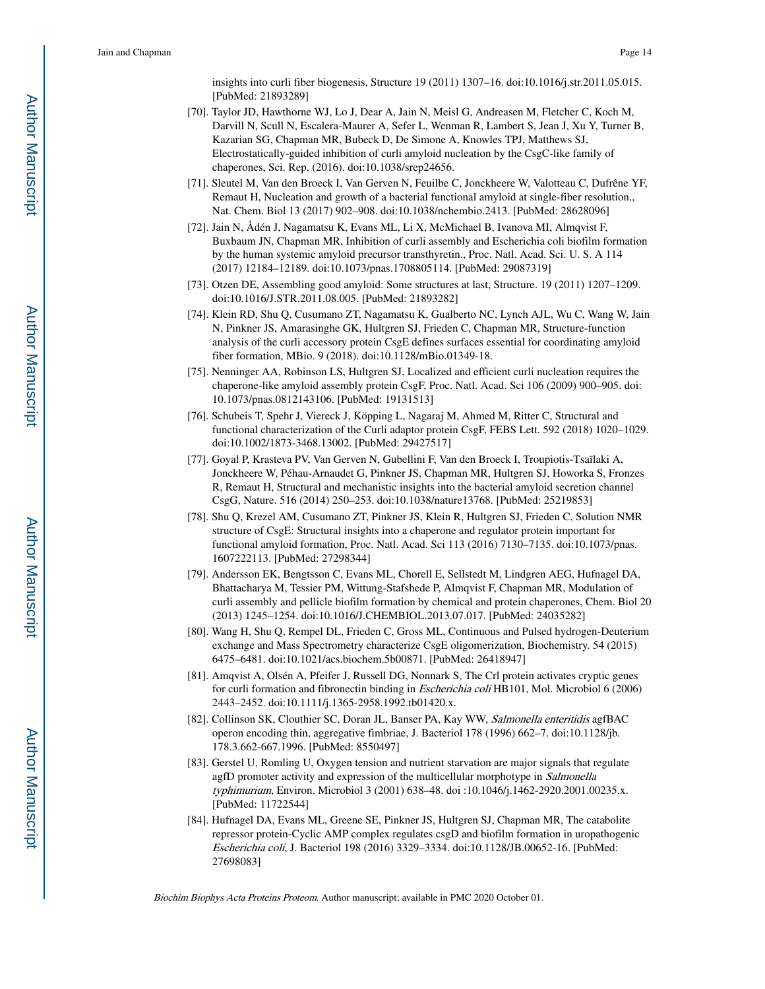insights into curli fiber biogenesis, Structure 19 (2011) 1307–16. doi:10.1016/j.str.2011.05.015. [PubMed: 21893289]

- [70]. Taylor JD, Hawthorne WJ, Lo J, Dear A, Jain N, Meisl G, Andreasen M, Fletcher C, Koch M, Darvill N, Scull N, Escalera-Maurer A, Sefer L, Wenman R, Lambert S, Jean J, Xu Y, Turner B, Kazarian SG, Chapman MR, Bubeck D, De Simone A, Knowles TPJ, Matthews SJ, Electrostatically-guided inhibition of curli amyloid nucleation by the CsgC-like family of chaperones, Sci. Rep, (2016). doi:10.1038/srep24656.
- [71]. Sleutel M, Van den Broeck I, Van Gerven N, Feuilbe C, Jonckheere W, Valotteau C, Dufrêne YF, Remaut H, Nucleation and growth of a bacterial functional amyloid at single-fiber resolution., Nat. Chem. Biol 13 (2017) 902–908. doi:10.1038/nchembio.2413. [PubMed: 28628096]
- [72]. Jain N, Ådén J, Nagamatsu K, Evans ML, Li X, McMichael B, Ivanova MI, Almqvist F, Buxbaum JN, Chapman MR, Inhibition of curli assembly and Escherichia coli biofilm formation by the human systemic amyloid precursor transthyretin., Proc. Natl. Acad. Sci. U. S. A 114 (2017) 12184–12189. doi:10.1073/pnas.1708805114. [PubMed: 29087319]
- [73]. Otzen DE, Assembling good amyloid: Some structures at last, Structure. 19 (2011) 1207–1209. doi:10.1016/J.STR.2011.08.005. [PubMed: 21893282]
- [74]. Klein RD, Shu Q, Cusumano ZT, Nagamatsu K, Gualberto NC, Lynch AJL, Wu C, Wang W, Jain N, Pinkner JS, Amarasinghe GK, Hultgren SJ, Frieden C, Chapman MR, Structure-function analysis of the curli accessory protein CsgE defines surfaces essential for coordinating amyloid fiber formation, MBio. 9 (2018). doi:10.1128/mBio.01349-18.
- [75]. Nenninger AA, Robinson LS, Hultgren SJ, Localized and efficient curli nucleation requires the chaperone-like amyloid assembly protein CsgF, Proc. Natl. Acad. Sci 106 (2009) 900–905. doi: 10.1073/pnas.0812143106. [PubMed: 19131513]
- [76]. Schubeis T, Spehr J, Viereck J, Köpping L, Nagaraj M, Ahmed M, Ritter C, Structural and functional characterization of the Curli adaptor protein CsgF, FEBS Lett. 592 (2018) 1020–1029. doi:10.1002/1873-3468.13002. [PubMed: 29427517]
- [77]. Goyal P, Krasteva PV, Van Gerven N, Gubellini F, Van den Broeck I, Troupiotis-Tsaïlaki A, Jonckheere W, Péhau-Arnaudet G, Pinkner JS, Chapman MR, Hultgren SJ, Howorka S, Fronzes R, Remaut H, Structural and mechanistic insights into the bacterial amyloid secretion channel CsgG, Nature. 516 (2014) 250–253. doi:10.1038/nature13768. [PubMed: 25219853]
- [78]. Shu Q, Krezel AM, Cusumano ZT, Pinkner JS, Klein R, Hultgren SJ, Frieden C, Solution NMR structure of CsgE: Structural insights into a chaperone and regulator protein important for functional amyloid formation, Proc. Natl. Acad. Sci 113 (2016) 7130–7135. doi:10.1073/pnas. 1607222113. [PubMed: 27298344]
- [79]. Andersson EK, Bengtsson C, Evans ML, Chorell E, Sellstedt M, Lindgren AEG, Hufnagel DA, Bhattacharya M, Tessier PM, Wittung-Stafshede P, Almqvist F, Chapman MR, Modulation of curli assembly and pellicle biofilm formation by chemical and protein chaperones, Chem. Biol 20 (2013) 1245–1254. doi:10.1016/J.CHEMBIOL.2013.07.017. [PubMed: 24035282]
- [80]. Wang H, Shu Q, Rempel DL, Frieden C, Gross ML, Continuous and Pulsed hydrogen-Deuterium exchange and Mass Spectrometry characterize CsgE oligomerization, Biochemistry. 54 (2015) 6475–6481. doi:10.1021/acs.biochem.5b00871. [PubMed: 26418947]
- [81]. Amqvist A, Olsén A, Pfeifer J, Russell DG, Nonnark S, The Crl protein activates cryptic genes for curli formation and fibronectin binding in Escherichia coli HB101, Mol. Microbiol 6 (2006) 2443–2452. doi:10.1111/j.1365-2958.1992.tb01420.x.
- [82]. Collinson SK, Clouthier SC, Doran JL, Banser PA, Kay WW, Salmonella enteritidis agfBAC operon encoding thin, aggregative fimbriae, J. Bacteriol 178 (1996) 662–7. doi:10.1128/jb. 178.3.662-667.1996. [PubMed: 8550497]
- [83]. Gerstel U, Romling U, Oxygen tension and nutrient starvation are major signals that regulate agfD promoter activity and expression of the multicellular morphotype in *Salmonella* typhimurium, Environ. Microbiol 3 (2001) 638–48. doi :10.1046/j.1462-2920.2001.00235.x. [PubMed: 11722544]
- [84]. Hufnagel DA, Evans ML, Greene SE, Pinkner JS, Hultgren SJ, Chapman MR, The catabolite repressor protein-Cyclic AMP complex regulates csgD and biofilm formation in uropathogenic Escherichia coli, J. Bacteriol 198 (2016) 3329–3334. doi:10.1128/JB.00652-16. [PubMed: 27698083]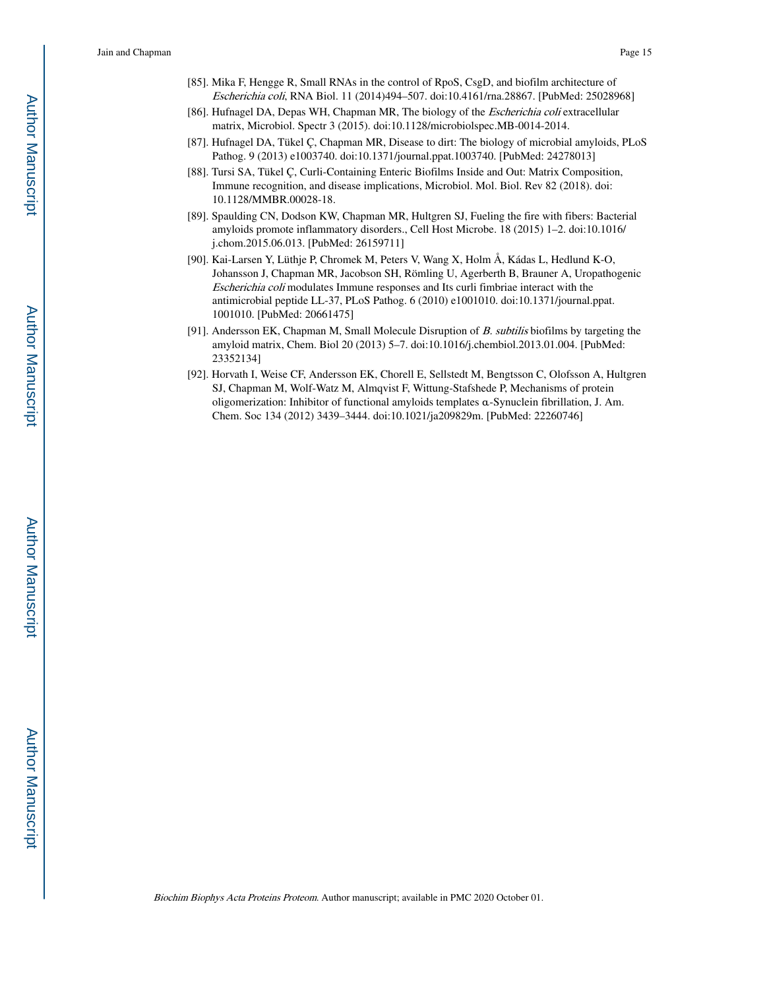- [85]. Mika F, Hengge R, Small RNAs in the control of RpoS, CsgD, and biofilm architecture of Escherichia coli, RNA Biol. 11 (2014)494–507. doi:10.4161/rna.28867. [PubMed: 25028968]
- [86]. Hufnagel DA, Depas WH, Chapman MR, The biology of the *Escherichia coli* extracellular matrix, Microbiol. Spectr 3 (2015). doi:10.1128/microbiolspec.MB-0014-2014.
- [87]. Hufnagel DA, Tükel Ç, Chapman MR, Disease to dirt: The biology of microbial amyloids, PLoS Pathog. 9 (2013) e1003740. doi:10.1371/journal.ppat.1003740. [PubMed: 24278013]
- [88]. Tursi SA, Tükel Ç, Curli-Containing Enteric Biofilms Inside and Out: Matrix Composition, Immune recognition, and disease implications, Microbiol. Mol. Biol. Rev 82 (2018). doi: 10.1128/MMBR.00028-18.
- [89]. Spaulding CN, Dodson KW, Chapman MR, Hultgren SJ, Fueling the fire with fibers: Bacterial amyloids promote inflammatory disorders., Cell Host Microbe. 18 (2015) 1–2. doi:10.1016/ j.chom.2015.06.013. [PubMed: 26159711]
- [90]. Kai-Larsen Y, Lüthje P, Chromek M, Peters V, Wang X, Holm Å, Kádas L, Hedlund K-O, Johansson J, Chapman MR, Jacobson SH, Römling U, Agerberth B, Brauner A, Uropathogenic Escherichia coli modulates Immune responses and Its curli fimbriae interact with the antimicrobial peptide LL-37, PLoS Pathog. 6 (2010) e1001010. doi:10.1371/journal.ppat. 1001010. [PubMed: 20661475]
- [91]. Andersson EK, Chapman M, Small Molecule Disruption of B. subtilis biofilms by targeting the amyloid matrix, Chem. Biol 20 (2013) 5–7. doi:10.1016/j.chembiol.2013.01.004. [PubMed: 23352134]
- [92]. Horvath I, Weise CF, Andersson EK, Chorell E, Sellstedt M, Bengtsson C, Olofsson A, Hultgren SJ, Chapman M, Wolf-Watz M, Almqvist F, Wittung-Stafshede P, Mechanisms of protein oligomerization: Inhibitor of functional amyloids templates α-Synuclein fibrillation, J. Am. Chem. Soc 134 (2012) 3439–3444. doi:10.1021/ja209829m. [PubMed: 22260746]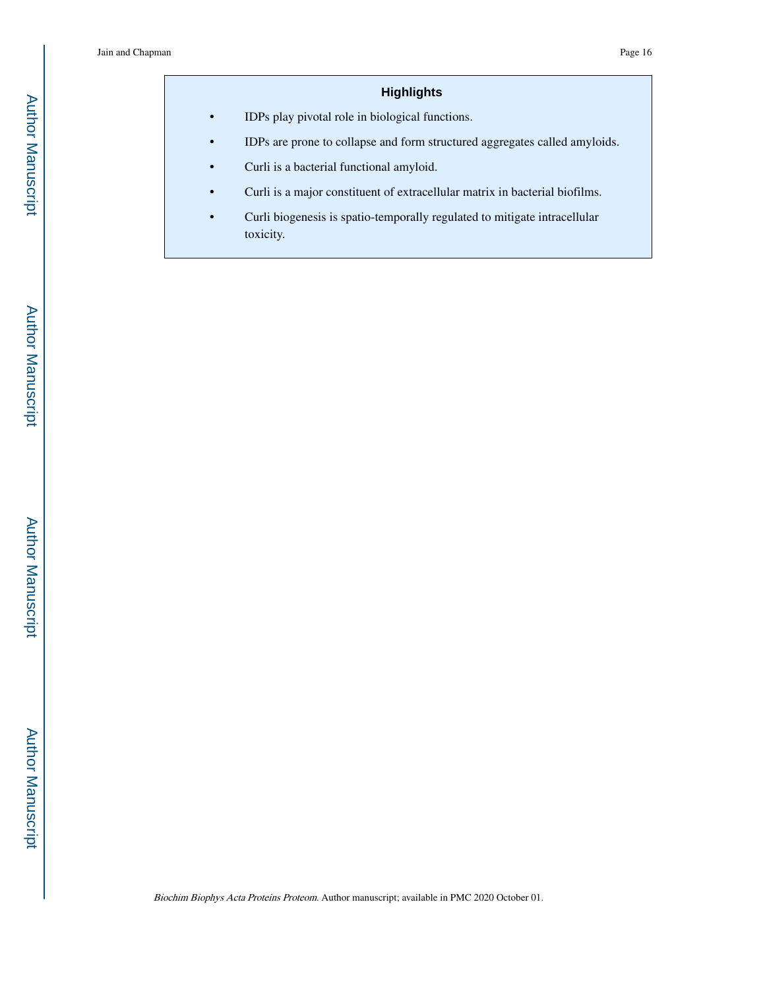# **Highlights**

**•** IDPs play pivotal role in biological functions.

- **•** IDPs are prone to collapse and form structured aggregates called amyloids.
- **•** Curli is a bacterial functional amyloid.
- **•** Curli is a major constituent of extracellular matrix in bacterial biofilms.
- **•** Curli biogenesis is spatio-temporally regulated to mitigate intracellular toxicity.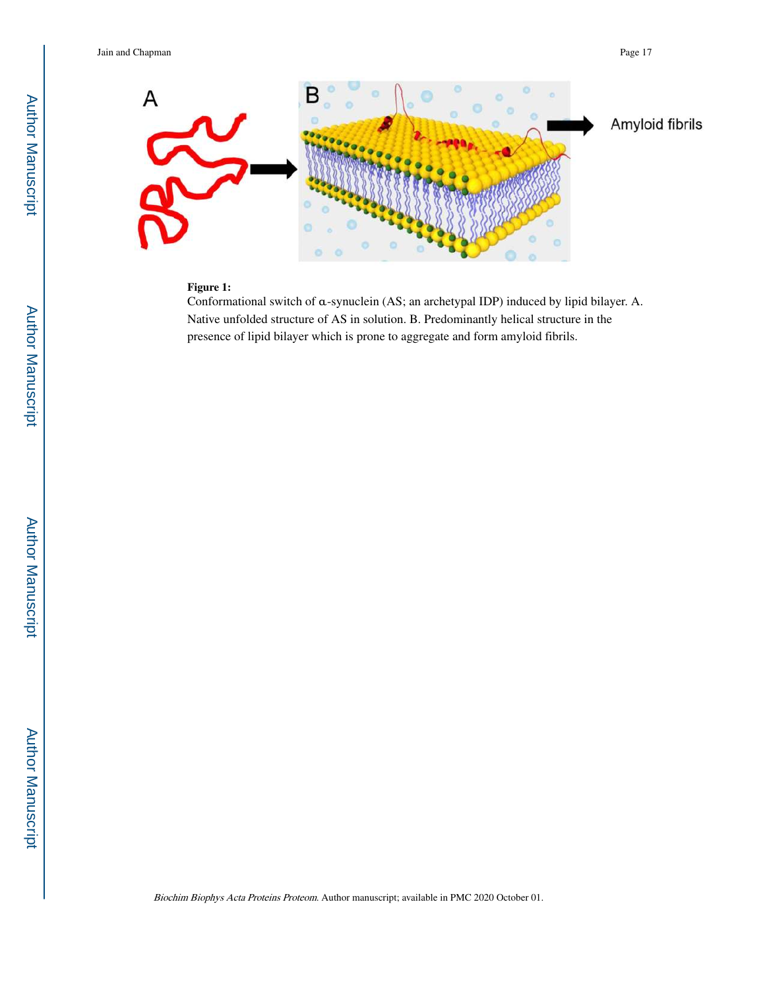

### **Figure 1:**

Conformational switch of α-synuclein (AS; an archetypal IDP) induced by lipid bilayer. A. Native unfolded structure of AS in solution. B. Predominantly helical structure in the presence of lipid bilayer which is prone to aggregate and form amyloid fibrils.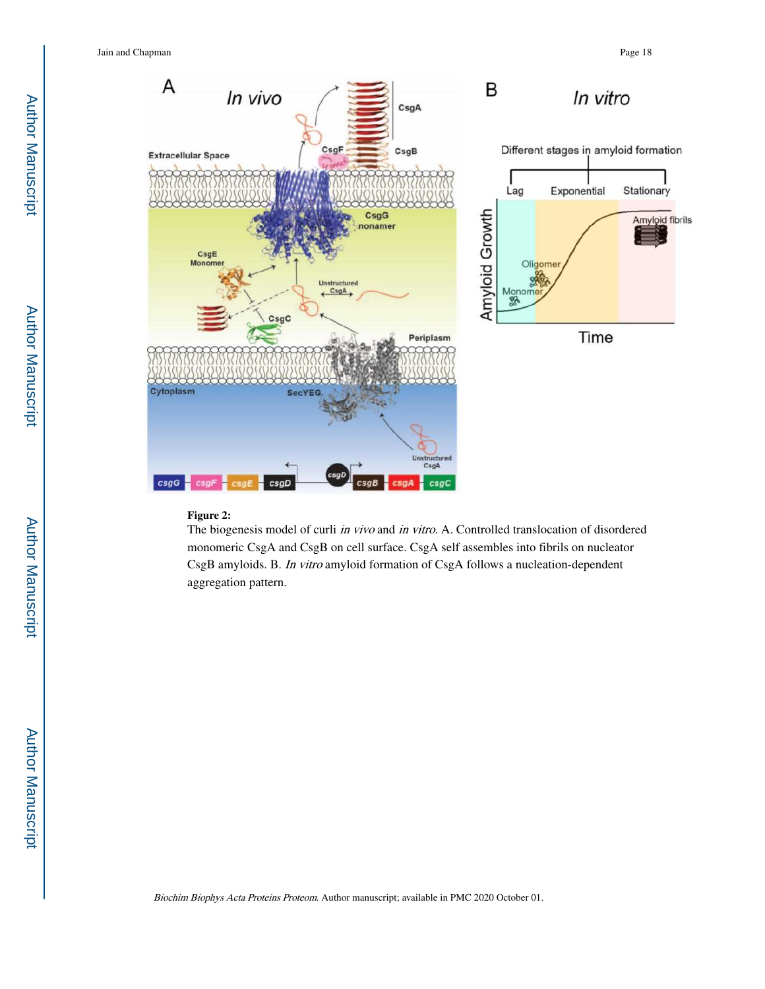

### **Figure 2:**

The biogenesis model of curli in vivo and in vitro. A. Controlled translocation of disordered monomeric CsgA and CsgB on cell surface. CsgA self assembles into fibrils on nucleator CsgB amyloids. B. In vitro amyloid formation of CsgA follows a nucleation-dependent aggregation pattern.